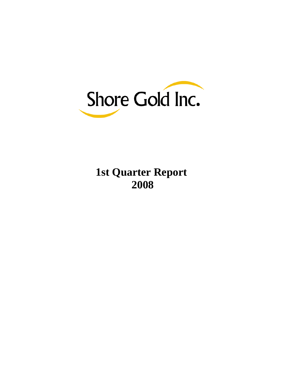

# **1st Quarter Report 2008**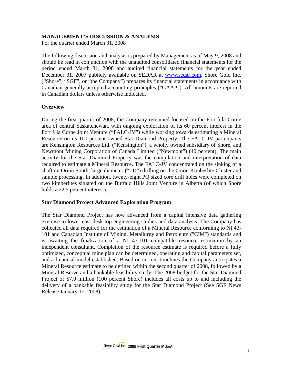# **MANAGEMENT'S DISCUSSION & ANALYSIS**

For the quarter ended March 31, 2008

The following discussion and analysis is prepared by Management as of May 9, 2008 and should be read in conjunction with the unaudited consolidated financial statements for the period ended March 31, 2008 and audited financial statements for the year ended December 31, 2007 publicly available on SEDAR at [www.sedar.com](http://www.sedar.com/). Shore Gold Inc. ("Shore", "SGF", or "the Company") prepares its financial statements in accordance with Canadian generally accepted accounting principles ("GAAP"). All amounts are reported in Canadian dollars unless otherwise indicated.

# **Overview**

During the first quarter of 2008, the Company remained focused on the Fort à la Corne area of central Saskatchewan, with ongoing exploration of its 60 percent interest in the Fort à la Corne Joint Venture ("FALC-JV") while working towards estimating a Mineral Resource on its 100 percent owned Star Diamond Property. The FALC-JV participants are Kensington Resources Ltd. ("Kensington"), a wholly owned subsidiary of Shore, and Newmont Mining Corporation of Canada Limited ("Newmont") (40 percent). The main activity for the Star Diamond Property was the compilation and interpretation of data required to estimate a Mineral Resource. The FALC-JV concentrated on the sinking of a shaft on Orion South, large diameter ("LD") drilling on the Orion Kimberlite Cluster and sample processing. In addition, twenty-eight PQ sized core drill holes were completed on two kimberlites situated on the Buffalo Hills Joint Venture in Alberta (of which Shore holds a 22.5 percent interest).

# **Star Diamond Project Advanced Exploration Program**

The Star Diamond Project has now advanced from a capital intensive data gathering exercise to lower cost desk-top engineering studies and data analysis. The Company has collected all data required for the estimation of a Mineral Resource conforming to NI 43- 101 and Canadian Institute of Mining, Metallurgy and Petroleum ("CIM") standards and is awaiting the finalization of a NI 43-101 compatible resource estimation by an independent consultant. Completion of the resource estimate is required before a fully optimized, conceptual mine plan can be determined, operating and capital parameters set, and a financial model established. Based on current timelines the Company anticipates a Mineral Resource estimate to be defined within the second quarter of 2008, followed by a Mineral Reserve and a bankable feasibility study. The 2008 budget for the Star Diamond Project of \$7.0 million (100 percent Shore) includes all costs up to and including the delivery of a bankable feasibility study for the Star Diamond Project (See SGF News Release January 17, 2008).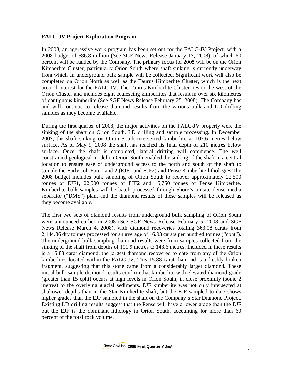# **FALC-JV Project Exploration Program**

In 2008, an aggressive work program has been set out for the FALC-JV Project, with a 2008 budget of \$86.8 million (See SGF News Release January 17, 2008), of which 60 percent will be funded by the Company. The primary focus for 2008 will be on the Orion Kimberlite Cluster, particularly Orion South where shaft sinking is currently underway from which an underground bulk sample will be collected. Significant work will also be completed on Orion North as well as the Taurus Kimberlite Cluster, which is the next area of interest for the FALC-JV. The Taurus Kimberlite Cluster lies to the west of the Orion Cluster and includes eight coalescing kimberlites that result in over six kilometres of contiguous kimberlite (See SGF News Release February 25, 2008). The Company has and will continue to release diamond results from the various bulk and LD drilling samples as they become available.

During the first quarter of 2008, the major activities on the FALC-JV property were the sinking of the shaft on Orion South, LD drilling and sample processing. In December 2007, the shaft sinking on Orion South intersected kimberlite at 102.6 metres below surface. As of May 9, 2008 the shaft has reached its final depth of 210 metres below surface. Once the shaft is completed, lateral drifting will commence. The well constrained geological model on Orion South enabled the sinking of the shaft in a central location to ensure ease of underground access to the north and south of the shaft to sample the Early Joli Fou 1 and 2 (EJF1 and EJF2) and Pense Kimberlite lithologies.The 2008 budget includes bulk sampling of Orion South to recover approximately 22,500 tonnes of EJF1, 22,500 tonnes of EJF2 and 15,750 tonnes of Pense Kimberlite. Kimberlite bulk samples will be batch processed through Shore's on-site dense media separator ("DMS") plant and the diamond results of these samples will be released as they become available.

The first two sets of diamond results from underground bulk sampling of Orion South were announced earlier in 2008 (See SGF News Release February 5, 2008 and SGF News Release March 4, 2008), with diamond recoveries totaling 363.08 carats from 2,144.86 dry tonnes processed for an average of 16.93 carats per hundred tonnes ("cpht"). The underground bulk sampling diamond results were from samples collected from the sinking of the shaft from depths of 101.9 metres to 148.6 metres. Included in these results is a 15.88 carat diamond, the largest diamond recovered to date from any of the Orion kimberlites located within the FALC-JV. This 15.88 carat diamond is a freshly broken fragment, suggesting that this stone came from a considerably larger diamond. These initial bulk sample diamond results confirm that kimberlite with elevated diamond grade (greater than 15 cpht) occurs at high levels in Orion South, in close proximity (some 2 metres) to the overlying glacial sediments. EJF kimberlite was not only intersected at shallower depths than in the Star Kimberlite shaft, but the EJF sampled to date shows higher grades than the EJF sampled in the shaft on the Company's Star Diamond Project. Existing LD drilling results suggest that the Pense will have a lower grade than the EJF but the EJF is the dominant lithology in Orion South, accounting for more than 60 percent of the total rock volume.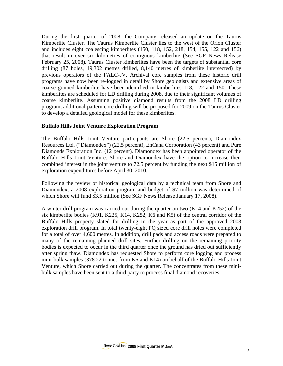During the first quarter of 2008, the Company released an update on the Taurus Kimberlite Cluster. The Taurus Kimberlite Cluster lies to the west of the Orion Cluster and includes eight coalescing kimberlites (150, 118, 152, 218, 154, 155, 122 and 156) that result in over six kilometres of contiguous kimberlite (See SGF News Release February 25, 2008). Taurus Cluster kimberlites have been the targets of substantial core drilling (87 holes, 19,302 metres drilled, 8,140 metres of kimberlite intersected) by previous operators of the FALC-JV. Archival core samples from these historic drill programs have now been re-logged in detail by Shore geologists and extensive areas of coarse grained kimberlite have been identified in kimberlites 118, 122 and 150. These kimberlites are scheduled for LD drilling during 2008, due to their significant volumes of coarse kimberlite. Assuming positive diamond results from the 2008 LD drilling program, additional pattern core drilling will be proposed for 2009 on the Taurus Cluster to develop a detailed geological model for these kimberlites.

# **Buffalo Hills Joint Venture Exploration Program**

The Buffalo Hills Joint Venture participants are Shore (22.5 percent), Diamondex Resources Ltd. ("Diamondex") (22.5 percent), EnCana Corporation (43 percent) and Pure Diamonds Exploration Inc. (12 percent). Diamondex has been appointed operator of the Buffalo Hills Joint Venture. Shore and Diamondex have the option to increase their combined interest in the joint venture to 72.5 percent by funding the next \$15 million of exploration expenditures before April 30, 2010.

Following the review of historical geological data by a technical team from Shore and Diamondex, a 2008 exploration program and budget of \$7 million was determined of which Shore will fund \$3.5 million (See SGF News Release January 17, 2008).

A winter drill program was carried out during the quarter on two (K14 and K252) of the six kimberlite bodies (K91, K225, K14, K252, K6 and K5) of the central corridor of the Buffalo Hills property slated for drilling in the year as part of the approved 2008 exploration drill program. In total twenty-eight PQ sized core drill holes were completed for a total of over 4,600 metres. In addition, drill pads and access roads were prepared to many of the remaining planned drill sites. Further drilling on the remaining priority bodies is expected to occur in the third quarter once the ground has dried out sufficiently after spring thaw. Diamondex has requested Shore to perform core logging and process mini-bulk samples (378.22 tonnes from K6 and K14) on behalf of the Buffalo Hills Joint Venture, which Shore carried out during the quarter. The concentrates from these minibulk samples have been sent to a third party to process final diamond recoveries.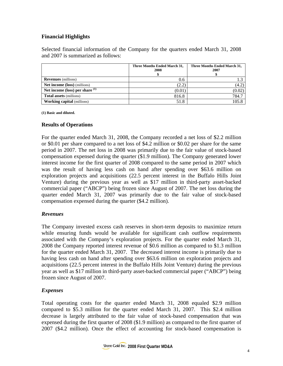# **Financial Highlights**

Selected financial information of the Company for the quarters ended March 31, 2008 and 2007 is summarized as follows:

|                                     | Three Months Ended March 31,<br>2008 | Three Months Ended March 31,<br>2007 |
|-------------------------------------|--------------------------------------|--------------------------------------|
| <b>Revenues</b> (millions)          | 0.6                                  |                                      |
| <b>Net income (loss)</b> (millions) | (2.2)                                | (4.2)                                |
| Net income (loss) per share $(1)$   | (0.01)                               | (0.02)                               |
| <b>Total assets (millions)</b>      | 816.8                                | 784.7                                |
| <b>Working capital</b> (millions)   | 51.8                                 | 105.8                                |

**(1) Basic and diluted.** 

# **Results of Operations**

For the quarter ended March 31, 2008, the Company recorded a net loss of \$2.2 million or \$0.01 per share compared to a net loss of \$4.2 million or \$0.02 per share for the same period in 2007. The net loss in 2008 was primarily due to the fair value of stock-based compensation expensed during the quarter (\$1.9 million). The Company generated lower interest income for the first quarter of 2008 compared to the same period in 2007 which was the result of having less cash on hand after spending over \$63.6 million on exploration projects and acquisitions (22.5 percent interest in the Buffalo Hills Joint Venture) during the previous year as well as \$17 million in third-party asset-backed commercial paper ("ABCP") being frozen since August of 2007. The net loss during the quarter ended March 31, 2007 was primarily due to the fair value of stock-based compensation expensed during the quarter (\$4.2 million).

# *Revenues*

The Company invested excess cash reserves in short-term deposits to maximize return while ensuring funds would be available for significant cash outflow requirements associated with the Company's exploration projects. For the quarter ended March 31, 2008 the Company reported interest revenue of \$0.6 million as compared to \$1.3 million for the quarter ended March 31, 2007. The decreased interest income is primarily due to having less cash on hand after spending over \$63.6 million on exploration projects and acquisitions (22.5 percent interest in the Buffalo Hills Joint Venture) during the previous year as well as \$17 million in third-party asset-backed commercial paper ("ABCP") being frozen since August of 2007.

# *Expenses*

Total operating costs for the quarter ended March 31, 2008 equaled \$2.9 million compared to \$5.3 million for the quarter ended March 31, 2007. This \$2.4 million decrease is largely attributed to the fair value of stock-based compensation that was expensed during the first quarter of 2008 (\$1.9 million) as compared to the first quarter of 2007 (\$4.2 million). Once the effect of accounting for stock-based compensation is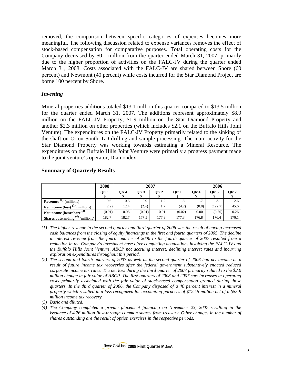removed, the comparison between specific categories of expenses becomes more meaningful. The following discussion related to expense variances removes the effect of stock-based compensation for comparative purposes. Total operating costs for the Company decreased by \$0.1 million from the quarter ended March 31, 2007, primarily due to the higher proportion of activities on the FALC-JV during the quarter ended March 31, 2008. Costs associated with the FALC-JV are shared between Shore (60 percent) and Newmont (40 percent) while costs incurred for the Star Diamond Project are borne 100 percent by Shore.

# *Investing*

Mineral properties additions totaled \$13.1 million this quarter compared to \$13.5 million for the quarter ended March 31, 2007. The additions represent approximately \$8.9 million on the FALC-JV Property, \$1.9 million on the Star Diamond Property and another \$2.3 million on other properties (which includes \$2.1 on the Buffalo Hills Joint Venture). The expenditures on the FALC-JV Property primarily related to the sinking of the shaft on Orion South, LD drilling and sample processing. The main activity for the Star Diamond Property was working towards estimating a Mineral Resource. The expenditures on the Buffalo Hills Joint Venture were primarily a progress payment made to the joint venture's operator, Diamondex.

# **Summary of Quarterly Results**

|                                         | 2008   |       |        | 2007    |        | 2006  |         |       |
|-----------------------------------------|--------|-------|--------|---------|--------|-------|---------|-------|
|                                         | Otr 1  | Otr 4 | Otr 3  | Otr $2$ | Otr 1  | Qtr 4 | Otr 3   | Qtr 2 |
| Revenues $\mathbf{u}$<br>(millions)     | 0.6    | 0.6   | 0.9    | 1.2     | 1.3    | 1.7   | 3.1     | 2.6   |
| Net income (loss)<br>(millions)         | (2.2)  | 12.4  | (2.4)  | 1.7     | (4.2)  | (0.8) | (122.7) | 45.6  |
| Net income (loss)/share $(3)$           | (0.01) | 0.06  | (0.01) | 0.01    | (0.02) | 0.00  | (0.70)  | 0.26  |
| (millions)<br><b>Shares outstanding</b> | 182.7  | 182.7 | 177.5  | 177.3   | 177.3  | 176.8 | 176.4   | 176.1 |

- *(1) The higher revenue in the second quarter and third quarter of 2006 was the result of having increased cash balances from the closing of equity financings in the first and fourth quarters of 2005. The decline in interest revenue from the fourth quarter of 2006 to the fourth quarter of 2007 resulted from a reduction in the Company's investment base after completing acquisitions involving the FALC-JV and the Buffalo Hills Joint Venture, ABCP not accruing interest, declining interest rates and incurring exploration expenditures throughout this period.*
- *(2) The second and fourth quarters of 2007 as well as the second quarter of 2006 had net income as a result of future income tax recoveries after the federal government substantively enacted reduced corporate income tax rates. The net loss during the third quarter of 2007 primarily related to the \$2.0 million change in fair value of ABCP. The first quarters of 2008 and 2007 saw increases in operating costs primarily associated with the fair value of stock-based compensation granted during those quarters. In the third quarter of 2006, the Company disposed of a 40 percent interest in a mineral property which resulted in a loss recognized for accounting purposes of \$124.5 million net of a \$55.9 million income tax recovery.*
- *(3) Basic and diluted.*
- *(4) The Company completed a private placement financing on November 23, 2007 resulting in the issuance of 4.76 million flow-through common shares from treasury. Other changes in the number of shares outstanding are the result of option exercises in the respective periods.*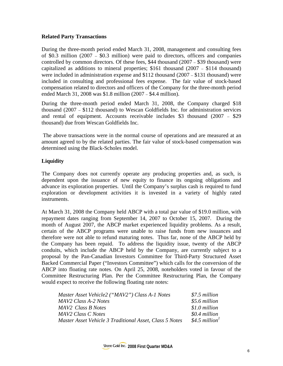# **Related Party Transactions**

During the three-month period ended March 31, 2008, management and consulting fees of \$0.3 million (2007 – \$0.3 million) were paid to directors, officers and companies controlled by common directors. Of these fees, \$44 thousand (2007 – \$39 thousand) were capitalized as additions to mineral properties; \$161 thousand (2007 – \$114 thousand) were included in administration expense and \$112 thousand (2007 – \$131 thousand) were included in consulting and professional fees expense. The fair value of stock-based compensation related to directors and officers of the Company for the three-month period ended March 31, 2008 was \$1.8 million (2007 – \$4.4 million).

During the three-month period ended March 31, 2008, the Company charged \$18 thousand (2007 – \$112 thousand) to Wescan Goldfields Inc. for administration services and rental of equipment. Accounts receivable includes \$3 thousand (2007 – \$29 thousand) due from Wescan Goldfields Inc.

 The above transactions were in the normal course of operations and are measured at an amount agreed to by the related parties. The fair value of stock-based compensation was determined using the Black-Scholes model.

# **Liquidity**

The Company does not currently operate any producing properties and, as such, is dependent upon the issuance of new equity to finance its ongoing obligations and advance its exploration properties. Until the Company's surplus cash is required to fund exploration or development activities it is invested in a variety of highly rated instruments.

At March 31, 2008 the Company held ABCP with a total par value of \$19.0 million, with repayment dates ranging from September 14, 2007 to October 15, 2007. During the month of August 2007, the ABCP market experienced liquidity problems. As a result, certain of the ABCP programs were unable to raise funds from new issuances and therefore were not able to refund maturing notes. Thus far, none of the ABCP held by the Company has been repaid. To address the liquidity issue, twenty of the ABCP conduits, which include the ABCP held by the Company, are currently subject to a proposal by the Pan-Canadian Investors Committee for Third-Party Structured Asset Backed Commercial Paper ("Investors Committee") which calls for the conversion of the ABCP into floating rate notes. On April 25, 2008, noteholders voted in favour of the Committee Restructuring Plan. Per the Committee Restructuring Plan, the Company would expect to receive the following floating rate notes:

| Master Asset Vehicle2 ("MAV2") Class A-1 Notes          | \$7.5 million              |
|---------------------------------------------------------|----------------------------|
| MAV2 Class A-2 Notes                                    | \$5.6 million              |
| MAV2 Class B Notes                                      | \$1.0 million              |
| MAV2 Class C Notes                                      | \$0.4 million              |
| Master Asset Vehicle 3 Traditional Asset, Class 5 Notes | \$4.5 million <sup>1</sup> |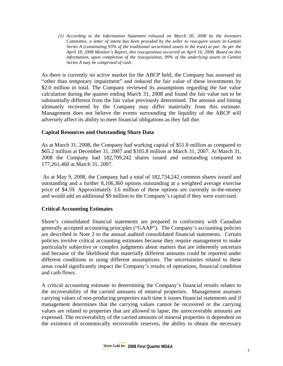*(1) According to the Information Statement released on March 20, 2008 by the Investors Committee, a letter of intent has been provided by the seller to reacquire assets in Gemini Series A (constituting 93% of the traditional securitized assets in the trust) at par. As per the April 18, 2008 Monitor's Report, this reacquisition occurred on April 16, 2008. Based on this information, upon completion of the reacquisition, 99% of the underlying assets in Gemini Series A may be comprised of cash.*

As there is currently no active market for the ABCP held, the Company has assessed an "other than temporary impairment" and reduced the fair value of these investments by \$2.0 million in total. The Company reviewed its assumptions regarding the fair value calculation during the quarter ending March 31, 2008 and found the fair value not to be substantially different from the fair value previously determined. The amount and timing ultimately recovered by the Company may differ materially from this estimate. Management does not believe the events surrounding the liquidity of the ABCP will adversely affect its ability to meet financial obligations as they fall due.

# **Capital Resources and Outstanding Share Data**

As at March 31, 2008, the Company had working capital of \$51.8 million as compared to \$65.2 million at December 31, 2007 and \$105.8 million at March 31, 2007. At March 31, 2008 the Company had 182,709,242 shares issued and outstanding compared to 177,261,460 at March 31, 2007.

 As at May 9, 2008, the Company had a total of 182,734,242 common shares issued and outstanding and a further 8,106,360 options outstanding at a weighted average exercise price of \$4.59. Approximately 3.6 million of these options are currently in-the-money and would add an additional \$9 million to the Company's capital if they were exercised.

# **Critical Accounting Estimates**

Shore's consolidated financial statements are prepared in conformity with Canadian generally accepted accounting principles ("GAAP"). The Company's accounting policies are described in Note 2 to the annual audited consolidated financial statements. Certain policies involve critical accounting estimates because they require management to make particularly subjective or complex judgments about matters that are inherently uncertain and because of the likelihood that materially different amounts could be reported under different conditions or using different assumptions. The uncertainties related to these areas could significantly impact the Company's results of operations, financial condition and cash flows.

A critical accounting estimate in determining the Company's financial results relates to the recoverability of the carried amounts of mineral properties. Management assesses carrying values of non-producing properties each time it issues financial statements and if management determines that the carrying values cannot be recovered or the carrying values are related to properties that are allowed to lapse, the unrecoverable amounts are expensed. The recoverability of the carried amounts of mineral properties is dependent on the existence of economically recoverable reserves, the ability to obtain the necessary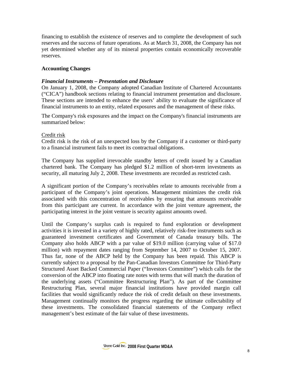financing to establish the existence of reserves and to complete the development of such reserves and the success of future operations. As at March 31, 2008, the Company has not yet determined whether any of its mineral properties contain economically recoverable reserves.

# **Accounting Changes**

# *Financial Instruments – Presentation and Disclosure*

On January 1, 2008, the Company adopted Canadian Institute of Chartered Accountants ("CICA") handbook sections relating to financial instrument presentation and disclosure. These sections are intended to enhance the users' ability to evaluate the significance of financial instruments to an entity, related exposures and the management of these risks.

The Company's risk exposures and the impact on the Company's financial instruments are summarized below:

# Credit risk

Credit risk is the risk of an unexpected loss by the Company if a customer or third-party to a financial instrument fails to meet its contractual obligations.

The Company has supplied irrevocable standby letters of credit issued by a Canadian chartered bank. The Company has pledged \$1.2 million of short-term investments as security, all maturing July 2, 2008. These investments are recorded as restricted cash.

A significant portion of the Company's receivables relate to amounts receivable from a participant of the Company's joint operations. Management minimizes the credit risk associated with this concentration of receivables by ensuring that amounts receivable from this participant are current. In accordance with the joint venture agreement, the participating interest in the joint venture is security against amounts owed.

Until the Company's surplus cash is required to fund exploration or development activities it is invested in a variety of highly rated, relatively risk-free instruments such as guaranteed investment certificates and Government of Canada treasury bills. The Company also holds ABCP with a par value of \$19.0 million (carrying value of \$17.0 million) with repayment dates ranging from September 14, 2007 to October 15, 2007. Thus far, none of the ABCP held by the Company has been repaid. This ABCP is currently subject to a proposal by the Pan-Canadian Investors Committee for Third-Party Structured Asset Backed Commercial Paper ("Investors Committee") which calls for the conversion of the ABCP into floating rate notes with terms that will match the duration of the underlying assets ("Committee Restructuring Plan"). As part of the Committee Restructuring Plan, several major financial institutions have provided margin call facilities that would significantly reduce the risk of credit default on these investments. Management continually monitors the progress regarding the ultimate collectability of these investments. The consolidated financial statements of the Company reflect management's best estimate of the fair value of these investments.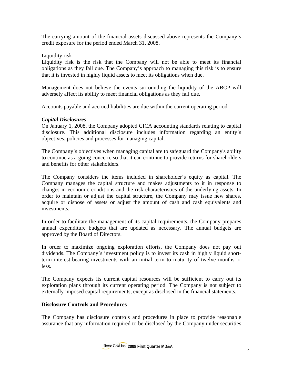The carrying amount of the financial assets discussed above represents the Company's credit exposure for the period ended March 31, 2008.

# Liquidity risk

Liquidity risk is the risk that the Company will not be able to meet its financial obligations as they fall due. The Company's approach to managing this risk is to ensure that it is invested in highly liquid assets to meet its obligations when due.

Management does not believe the events surrounding the liquidity of the ABCP will adversely affect its ability to meet financial obligations as they fall due.

Accounts payable and accrued liabilities are due within the current operating period.

# *Capital Disclosures*

On January 1, 2008, the Company adopted CICA accounting standards relating to capital disclosure. This additional disclosure includes information regarding an entity's objectives, policies and processes for managing capital.

The Company's objectives when managing capital are to safeguard the Company's ability to continue as a going concern, so that it can continue to provide returns for shareholders and benefits for other stakeholders.

The Company considers the items included in shareholder's equity as capital. The Company manages the capital structure and makes adjustments to it in response to changes in economic conditions and the risk characteristics of the underlying assets. In order to maintain or adjust the capital structure, the Company may issue new shares, acquire or dispose of assets or adjust the amount of cash and cash equivalents and investments.

In order to facilitate the management of its capital requirements, the Company prepares annual expenditure budgets that are updated as necessary. The annual budgets are approved by the Board of Directors.

In order to maximize ongoing exploration efforts, the Company does not pay out dividends. The Company's investment policy is to invest its cash in highly liquid shortterm interest-bearing investments with an initial term to maturity of twelve months or less.

The Company expects its current capital resources will be sufficient to carry out its exploration plans through its current operating period. The Company is not subject to externally imposed capital requirements, except as disclosed in the financial statements.

# **Disclosure Controls and Procedures**

The Company has disclosure controls and procedures in place to provide reasonable assurance that any information required to be disclosed by the Company under securities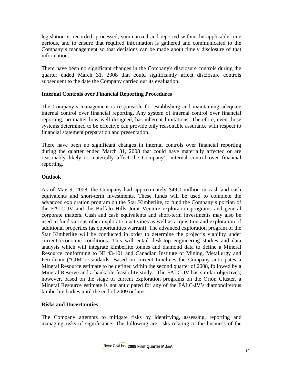legislation is recorded, processed, summarized and reported within the applicable time periods, and to ensure that required information is gathered and communicated to the Company's management so that decisions can be made about timely disclosure of that information.

There have been no significant changes in the Company's disclosure controls during the quarter ended March 31, 2008 that could significantly affect disclosure controls subsequent to the date the Company carried out its evaluation.

# **Internal Controls over Financial Reporting Procedures**

The Company's management is responsible for establishing and maintaining adequate internal control over financial reporting. Any system of internal control over financial reporting, no matter how well designed, has inherent limitations. Therefore, even those systems determined to be effective can provide only reasonable assurance with respect to financial statement preparation and presentation.

There have been no significant changes in internal controls over financial reporting during the quarter ended March 31, 2008 that could have materially affected or are reasonably likely to materially affect the Company's internal control over financial reporting.

# **Outlook**

As of May 9, 2008, the Company had approximately \$49.0 million in cash and cash equivalents and short-term investments. These funds will be used to complete the advanced exploration program on the Star Kimberlite, to fund the Company's portion of the FALC-JV and the Buffalo Hills Joint Venture exploration programs and general corporate matters. Cash and cash equivalents and short-term investments may also be used to fund various other exploration activities as well as acquisition and exploration of additional properties (as opportunities warrant). The advanced exploration program of the Star Kimberlite will be conducted in order to determine the project's viability under current economic conditions. This will entail desk-top engineering studies and data analysis which will integrate kimberlite tonnes and diamond data to define a Mineral Resource conforming to NI 43-101 and Canadian Institute of Mining, Metallurgy and Petroleum ("CIM") standards. Based on current timelines the Company anticipates a Mineral Resource estimate to be defined within the second quarter of 2008, followed by a Mineral Reserve and a bankable feasibility study. The FALC-JV has similar objectives; however, based on the stage of current exploration programs on the Orion Cluster, a Mineral Resource estimate is not anticipated for any of the FALC-JV's diamondiferous kimberlite bodies until the end of 2009 or later.

# **Risks and Uncertainties**

The Company attempts to mitigate risks by identifying, assessing, reporting and managing risks of significance. The following are risks relating to the business of the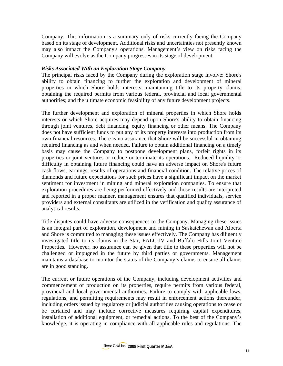Company. This information is a summary only of risks currently facing the Company based on its stage of development. Additional risks and uncertainties not presently known may also impact the Company's operations. Management's view on risks facing the Company will evolve as the Company progresses in its stage of development.

# *Risks Associated With an Exploration Stage Company*

The principal risks faced by the Company during the exploration stage involve: Shore's ability to obtain financing to further the exploration and development of mineral properties in which Shore holds interests; maintaining title to its property claims; obtaining the required permits from various federal, provincial and local governmental authorities; and the ultimate economic feasibility of any future development projects.

The further development and exploration of mineral properties in which Shore holds interests or which Shore acquires may depend upon Shore's ability to obtain financing through joint ventures, debt financing, equity financing or other means. The Company does not have sufficient funds to put any of its property interests into production from its own financial resources. There is no assurance that Shore will be successful in obtaining required financing as and when needed. Failure to obtain additional financing on a timely basis may cause the Company to postpone development plans, forfeit rights in its properties or joint ventures or reduce or terminate its operations. Reduced liquidity or difficulty in obtaining future financing could have an adverse impact on Shore's future cash flows, earnings, results of operations and financial condition. The relative prices of diamonds and future expectations for such prices have a significant impact on the market sentiment for investment in mining and mineral exploration companies. To ensure that exploration procedures are being performed effectively and those results are interpreted and reported in a proper manner, management ensures that qualified individuals, service providers and external consultants are utilized in the verification and quality assurance of analytical results.

Title disputes could have adverse consequences to the Company. Managing these issues is an integral part of exploration, development and mining in Saskatchewan and Alberta and Shore is committed to managing these issues effectively. The Company has diligently investigated title to its claims in the Star, FALC-JV and Buffalo Hills Joint Venture Properties. However, no assurance can be given that title to these properties will not be challenged or impugned in the future by third parties or governments. Management maintains a database to monitor the status of the Company's claims to ensure all claims are in good standing.

The current or future operations of the Company, including development activities and commencement of production on its properties, require permits from various federal, provincial and local governmental authorities. Failure to comply with applicable laws, regulations, and permitting requirements may result in enforcement actions thereunder, including orders issued by regulatory or judicial authorities causing operations to cease or be curtailed and may include corrective measures requiring capital expenditures, installation of additional equipment, or remedial actions. To the best of the Company's knowledge, it is operating in compliance with all applicable rules and regulations. The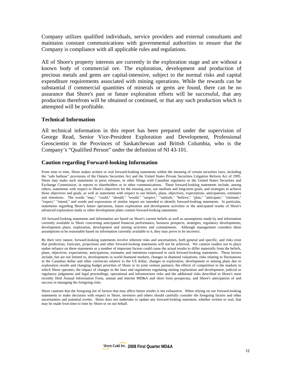Company utilizes qualified individuals, service providers and external consultants and maintains constant communications with governmental authorities to ensure that the Company is compliance with all applicable rules and regulations.

All of Shore's property interests are currently in the exploration stage and are without a known body of commercial ore. The exploration, development and production of precious metals and gems are capital-intensive, subject to the normal risks and capital expenditure requirements associated with mining operations. While the rewards can be substantial if commercial quantities of minerals or gems are found, there can be no assurance that Shore's past or future exploration efforts will be successful, that any production therefrom will be obtained or continued, or that any such production which is attempted will be profitable.

## **Technical Information**

All technical information in this report has been prepared under the supervision of George Read, Senior Vice-President Exploration and Development, Professional Geoscientist in the Provinces of Saskatchewan and British Columbia, who is the Company's "Qualified Person" under the definition of NI 43-101.

# **Caution regarding Forward-looking Information**

From time to time, Shore makes written or oral forward-looking statements within the meaning of certain securities laws, including the "safe harbour" provisions of the Ontario Securities Act and the United States Private Securities Litigation Reform Act of 1995. Shore may make such statements in press releases, in other filings with Canadian regulators or the United States Securities and Exchange Commission, in reports to shareholders or in other communications. These forward-looking statements include, among others, statements with respect to Shore's objectives for the ensuing year, our medium and long-term goals, and strategies to achieve those objectives and goals, as well as statements with respect to our beliefs, plans, objectives, expectations, anticipations, estimates and intentions. The words "may," "could," "should," "would," "suspect," "outlook," "believe," "plan," "anticipate," "estimate," "expect," "intend," and words and expressions of similar import are intended to identify forward-looking statements. In particular, statements regarding Shore's future operations, future exploration and development activities or the anticipated results of Shore's advanced exploration study or other development plans contain forward-looking statements.

All forward-looking statements and information are based on Shore's current beliefs as well as assumptions made by and information currently available to Shore concerning anticipated financial performance, business prospects, strategies, regulatory developments, development plans, exploration, development and mining activities and commitments. Although management considers these assumptions to be reasonable based on information currently available to it, they may prove to be incorrect.

By their very nature, forward-looking statements involve inherent risks and uncertainties, both general and specific, and risks exist that predictions, forecasts, projections and other forward-looking statements will not be achieved. We caution readers not to place undue reliance on these statements as a number of important factors could cause the actual results to differ materially from the beliefs, plans, objectives, expectations, anticipations, estimates and intentions expressed in such forward-looking statements. These factors include, but are not limited to, developments in world diamond markets, changes in diamond valuations, risks relating to fluctuations in the Canadian dollar and other currencies relative to the US dollar, changes in exploration, development or mining plans due to exploration results and changing budget priorities of Shore or its joint venture partners; the effects of competition in the markets in which Shore operates; the impact of changes in the laws and regulations regulating mining exploration and development; judicial or regulatory judgments and legal proceedings; operational and infrastructure risks and the additional risks described in Shore's most recently filed Annual Information Form, annual and interim MD&A and short form prospectus, and Shore's anticipation of and success in managing the foregoing risks.

Shore cautions that the foregoing list of factors that may affect future results is not exhaustive. When relying on our forward-looking statements to make decisions with respect to Shore, investors and others should carefully consider the foregoing factors and other uncertainties and potential events. Shore does not undertake to update any forward-looking statement, whether written or oral, that may be made from time to time by Shore or on our behalf.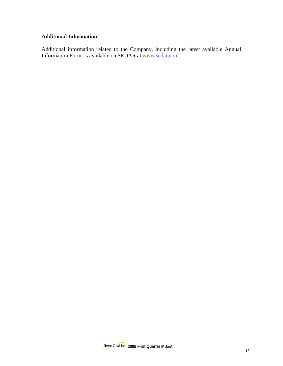# **Additional Information**

Additional information related to the Company, including the latest available Annual Information Form, is available on SEDAR at www.sedar.com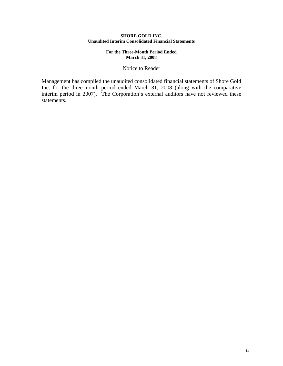#### **SHORE GOLD INC. Unaudited Interim Consolidated Financial Statements**

#### **For the Three-Month Period Ended March 31, 2008**

## Notice to Reader

Management has compiled the unaudited consolidated financial statements of Shore Gold Inc. for the three-month period ended March 31, 2008 (along with the comparative interim period in 2007). The Corporation's external auditors have not reviewed these statements.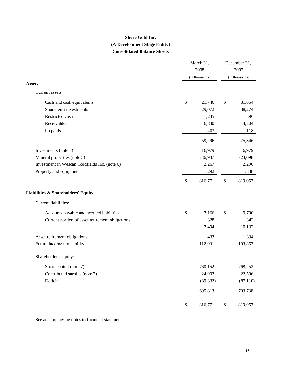# **Consolidated Balance Sheets Shore Gold Inc. (A Development Stage Entity)**

|                                                 | March 31,<br>2008<br>(in thousands) |           |      | December 31,<br>2007<br>(in thousands) |
|-------------------------------------------------|-------------------------------------|-----------|------|----------------------------------------|
| <b>Assets</b>                                   |                                     |           |      |                                        |
| Current assets:                                 |                                     |           |      |                                        |
| Cash and cash equivalents                       | \$                                  | 21,746    | \$   | 31,854                                 |
| Short-term investments                          |                                     | 29,072    |      | 38,274                                 |
| Restricted cash                                 |                                     | 1,245     |      | 396                                    |
| Receivables                                     |                                     | 6,830     |      | 4,704                                  |
| Prepaids                                        |                                     | 403       |      | 118                                    |
|                                                 |                                     | 59,296    |      | 75,346                                 |
| Investments (note 4)                            |                                     | 16,979    |      | 16,979                                 |
| Mineral properties (note 5)                     |                                     | 736,937   |      | 723,098                                |
| Investment in Wescan Goldfields Inc. (note 6)   |                                     | 2,267     |      | 2,296                                  |
| Property and equipment                          |                                     | 1,292     |      | 1,338                                  |
|                                                 | \$                                  | 816,771   | \$   | 819,057                                |
| Liabilities & Shareholders' Equity              |                                     |           |      |                                        |
| Current liabilities:                            |                                     |           |      |                                        |
| Accounts payable and accrued liabilities        | \$                                  | 7,166     | \$   | 9,790                                  |
| Current portion of asset retirement obligations |                                     | 328       |      | 342                                    |
|                                                 |                                     | 7,494     |      | 10,132                                 |
| Asset retirement obligations                    |                                     | 1,433     |      | 1,334                                  |
| Future income tax liability                     |                                     | 112,031   |      | 103,853                                |
| Shareholders' equity:                           |                                     |           |      |                                        |
| Share capital (note 7)                          |                                     | 760,152   |      | 768,252                                |
| Contributed surplus (note 7)                    |                                     | 24,993    |      | 22,596                                 |
| Deficit                                         |                                     | (89, 332) |      | (87, 110)                              |
|                                                 |                                     | 695,813   |      | 703,738                                |
|                                                 | $\mathbb{S}$                        | 816,771   | $\,$ | 819,057                                |

See accompanying notes to financial statements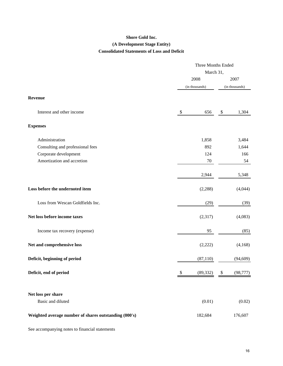# **Shore Gold Inc. (A Development Stage Entity) Consolidated Statements of Loss and Deficit**

|                                                       |                | Three Months Ended |    |                |  |
|-------------------------------------------------------|----------------|--------------------|----|----------------|--|
|                                                       |                | March 31,          |    |                |  |
|                                                       | 2008           |                    |    | 2007           |  |
|                                                       | (in thousands) |                    |    | (in thousands) |  |
| Revenue                                               |                |                    |    |                |  |
| Interest and other income                             | \$             | 656                | \$ | 1,304          |  |
| <b>Expenses</b>                                       |                |                    |    |                |  |
| Administration                                        |                | 1,858              |    | 3,484          |  |
| Consulting and professional fees                      |                | 892                |    | 1,644          |  |
| Corporate development                                 |                | 124                |    | 166            |  |
| Amortization and accretion                            |                | $70\,$             |    | 54             |  |
|                                                       |                | 2,944              |    | 5,348          |  |
| Loss before the undernoted item                       |                | (2, 288)           |    | (4,044)        |  |
| Loss from Wescan Goldfields Inc.                      |                | (29)               |    | (39)           |  |
| Net loss before income taxes                          |                | (2,317)            |    | (4,083)        |  |
| Income tax recovery (expense)                         |                | 95                 |    | (85)           |  |
| Net and comprehensive loss                            |                | (2,222)            |    | (4,168)        |  |
| Deficit, beginning of period                          |                | (87, 110)          |    | (94, 609)      |  |
| Deficit, end of period                                |                | (89, 332)          | \$ | (98, 777)      |  |
| Net loss per share                                    |                |                    |    |                |  |
| Basic and diluted                                     |                | (0.01)             |    | (0.02)         |  |
| Weighted average number of shares outstanding (000's) |                | 182,684            |    | 176,607        |  |

See accompanying notes to financial statements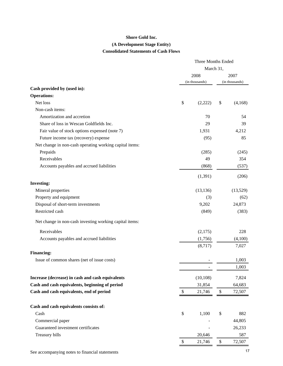#### **Shore Gold Inc.**

# **(A Development Stage Entity)**

# **Consolidated Statements of Cash Flows**

|                                                         | <b>Three Months Ended</b> |                |        |                |
|---------------------------------------------------------|---------------------------|----------------|--------|----------------|
|                                                         | March 31,                 |                |        |                |
|                                                         | 2008                      |                |        | 2007           |
|                                                         |                           | (in thousands) |        | (in thousands) |
| Cash provided by (used in):                             |                           |                |        |                |
| <b>Operations:</b>                                      |                           |                |        |                |
| Net loss                                                | \$                        | (2,222)        | \$     | (4,168)        |
| Non-cash items:                                         |                           |                |        |                |
| Amortization and accretion                              |                           | 70             |        | 54             |
| Share of loss in Wescan Goldfields Inc.                 |                           | 29             |        | 39             |
| Fair value of stock options expensed (note 7)           |                           | 1,931          |        | 4,212          |
| Future income tax (recovery) expense                    |                           | (95)           |        | 85             |
| Net change in non-cash operating working capital items: |                           |                |        |                |
| Prepaids                                                |                           | (285)          |        | (245)          |
| Receivables                                             |                           | 49             |        | 354            |
| Accounts payables and accrued liabilities               |                           | (868)          |        | (537)          |
|                                                         |                           | (1, 391)       |        | (206)          |
| <b>Investing:</b>                                       |                           |                |        |                |
| Mineral properties                                      |                           | (13, 136)      |        | (13,529)       |
| Property and equipment                                  |                           | (3)            |        | (62)           |
| Disposal of short-term investments                      |                           | 9,202          |        | 24,873         |
| Restricted cash                                         |                           | (849)          |        | (383)          |
| Net change in non-cash investing working capital items: |                           |                |        |                |
| Receivables                                             |                           | (2,175)        |        | 228            |
| Accounts payables and accrued liabilities               |                           | (1,756)        |        | (4,100)        |
|                                                         |                           | (8,717)        |        | 7,027          |
| <b>Financing:</b>                                       |                           |                |        |                |
| Issue of common shares (net of issue costs)             |                           |                |        | 1,003          |
|                                                         |                           |                |        | 1,003          |
| Increase (decrease) in cash and cash equivalents        |                           | (10, 108)      |        | 7,824          |
| Cash and cash equivalents, beginning of period          |                           | 31,854         |        | 64,683         |
| Cash and cash equivalents, end of period                | $\mathcal{S}$             | 21,746         | $\$\,$ | 72,507         |
| Cash and cash equivalents consists of:                  |                           |                |        |                |
| Cash                                                    | \$                        | 1,100          | \$     | 882            |
| Commercial paper                                        |                           |                |        | 44,805         |
| Guaranteed investment certificates                      |                           |                |        | 26,233         |
| Treasury bills                                          |                           | 20,646         |        | 587            |
|                                                         | \$                        | 21,746         | \$     | 72,507         |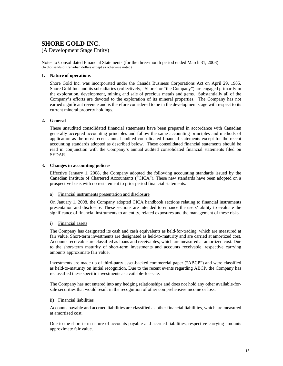# **SHORE GOLD INC.**

## (A Development Stage Entity)

Notes to Consolidated Financial Statements (for the three-month period ended March 31, 2008) (In thousands of Canadian dollars except as otherwise noted)

#### **1. Nature of operations**

Shore Gold Inc. was incorporated under the Canada Business Corporations Act on April 29, 1985. Shore Gold Inc. and its subsidiaries (collectively, "Shore" or "the Company") are engaged primarily in the exploration, development, mining and sale of precious metals and gems. Substantially all of the Company's efforts are devoted to the exploration of its mineral properties. The Company has not earned significant revenue and is therefore considered to be in the development stage with respect to its current mineral property holdings.

#### **2. General**

These unaudited consolidated financial statements have been prepared in accordance with Canadian generally accepted accounting principles and follow the same accounting principles and methods of application as the most recent annual audited consolidated financial statements except for the recent accounting standards adopted as described below. These consolidated financial statements should be read in conjunction with the Company's annual audited consolidated financial statements filed on SEDAR.

#### **3. Changes in accounting policies**

Effective January 1, 2008, the Company adopted the following accounting standards issued by the Canadian Institute of Chartered Accountants ("CICA"). These new standards have been adopted on a prospective basis with no restatement to prior period financial statements.

#### a) Financial instruments presentation and disclosure

On January 1, 2008, the Company adopted CICA handbook sections relating to financial instruments presentation and disclosure. These sections are intended to enhance the users' ability to evaluate the significance of financial instruments to an entity, related exposures and the management of these risks.

#### i) Financial assets

The Company has designated its cash and cash equivalents as held-for-trading, which are measured at fair value. Short-term investments are designated as held-to-maturity and are carried at amortized cost. Accounts receivable are classified as loans and receivables, which are measured at amortized cost. Due to the short-term maturity of short-term investments and accounts receivable, respective carrying amounts approximate fair value.

Investments are made up of third-party asset-backed commercial paper ("ABCP") and were classified as held-to-maturity on initial recognition. Due to the recent events regarding ABCP, the Company has reclassified these specific investments as available-for-sale.

The Company has not entered into any hedging relationships and does not hold any other available-forsale securities that would result in the recognition of other comprehensive income or loss.

#### ii) Financial liabilities

Accounts payable and accrued liabilities are classified as other financial liabilities, which are measured at amortized cost.

Due to the short term nature of accounts payable and accrued liabilities, respective carrying amounts approximate fair value.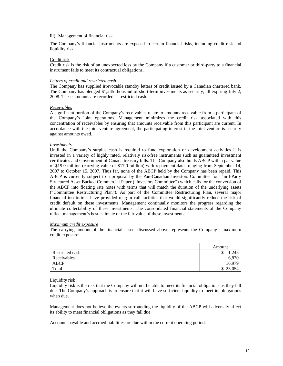#### iii) Management of financial risk

The Company's financial instruments are exposed to certain financial risks, including credit risk and liquidity risk.

#### Credit risk

Credit risk is the risk of an unexpected loss by the Company if a customer or third-party to a financial instrument fails to meet its contractual obligations.

#### *Letters of credit and restricted cash*

The Company has supplied irrevocable standby letters of credit issued by a Canadian chartered bank. The Company has pledged \$1,245 thousand of short-term investments as security, all expiring July 2, 2008. These amounts are recorded as restricted cash.

#### *Receivables*

A significant portion of the Company's receivables relate to amounts receivable from a participant of the Company's joint operations. Management minimizes the credit risk associated with this concentration of receivables by ensuring that amounts receivable from this participant are current. In accordance with the joint venture agreement, the participating interest in the joint venture is security against amounts owed.

#### *Investments*

Until the Company's surplus cash is required to fund exploration or development activities it is invested in a variety of highly rated, relatively risk-free instruments such as guaranteed investment certificates and Government of Canada treasury bills. The Company also holds ABCP with a par value of \$19.0 million (carrying value of \$17.0 million) with repayment dates ranging from September 14, 2007 to October 15, 2007. Thus far, none of the ABCP held by the Company has been repaid. This ABCP is currently subject to a proposal by the Pan-Canadian Investors Committee for Third-Party Structured Asset Backed Commercial Paper ("Investors Committee") which calls for the conversion of the ABCP into floating rate notes with terms that will match the duration of the underlying assets ("Committee Restructuring Plan"). As part of the Committee Restructuring Plan, several major financial institutions have provided margin call facilities that would significantly reduce the risk of credit default on these investments. Management continually monitors the progress regarding the ultimate collectability of these investments. The consolidated financial statements of the Company reflect management's best estimate of the fair value of these investments.

#### *Maximum credit exposure*

The carrying amount of the financial assets discussed above represents the Company's maximum credit exposure:

|                 | Amount     |
|-----------------|------------|
| Restricted cash | 1,245<br>◡ |
| Receivables     | 6,830      |
| ABCP            | 16.979     |
| Total           | \$25,054   |

#### Liquidity risk

Liquidity risk is the risk that the Company will not be able to meet its financial obligations as they fall due. The Company's approach is to ensure that it will have sufficient liquidity to meet its obligations when due.

Management does not believe the events surrounding the liquidity of the ABCP will adversely affect its ability to meet financial obligations as they fall due.

Accounts payable and accrued liabilities are due within the current operating period.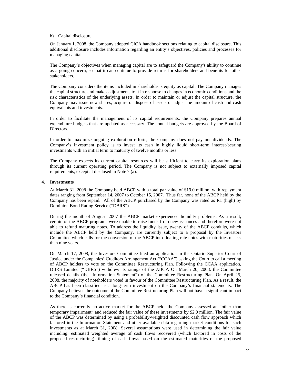#### b) Capital disclosure

On January 1, 2008, the Company adopted CICA handbook sections relating to capital disclosure. This additional disclosure includes information regarding an entity's objectives, policies and processes for managing capital.

The Company's objectives when managing capital are to safeguard the Company's ability to continue as a going concern, so that it can continue to provide returns for shareholders and benefits for other stakeholders.

The Company considers the items included in shareholder's equity as capital. The Company manages the capital structure and makes adjustments to it in response to changes in economic conditions and the risk characteristics of the underlying assets. In order to maintain or adjust the capital structure, the Company may issue new shares, acquire or dispose of assets or adjust the amount of cash and cash equivalents and investments.

In order to facilitate the management of its capital requirements, the Company prepares annual expenditure budgets that are updated as necessary. The annual budgets are approved by the Board of Directors.

In order to maximize ongoing exploration efforts, the Company does not pay out dividends. The Company's investment policy is to invest its cash in highly liquid short-term interest-bearing investments with an initial term to maturity of twelve months or less.

The Company expects its current capital resources will be sufficient to carry its exploration plans through its current operating period. The Company is not subject to externally imposed capital requirements, except at disclosed in Note 7 (a).

#### **4. Investments**

At March 31, 2008 the Company held ABCP with a total par value of \$19.0 million, with repayment dates ranging from September 14, 2007 to October 15, 2007. Thus far, none of the ABCP held by the Company has been repaid. All of the ABCP purchased by the Company was rated as R1 (high) by Dominion Bond Rating Service ("DBRS").

During the month of August, 2007 the ABCP market experienced liquidity problems. As a result, certain of the ABCP programs were unable to raise funds from new issuances and therefore were not able to refund maturing notes. To address the liquidity issue, twenty of the ABCP conduits, which include the ABCP held by the Company, are currently subject to a proposal by the Investors Committee which calls for the conversion of the ABCP into floating rate notes with maturities of less than nine years.

On March 17, 2008, the Investors Committee filed an application in the Ontario Superior Court of Justice under the Companies' Creditors Arrangement Act ("CCAA") asking the Court to call a meeting of ABCP holders to vote on the Committee Restructuring Plan. Following the CCAA application, DBRS Limited ("DBRS") withdrew its ratings of the ABCP. On March 20, 2008, the Committee released details (the "Information Statement") of the Committee Restructuring Plan. On April 25, 2008, the majority of noteholders voted in favour of the Committee Restructuring Plan. As a result, the ABCP has been classified as a long-term investment on the Company's financial statements. The Company believes the outcome of the Committee Restructuring Plan will not have a significant impact to the Company's financial condition.

As there is currently no active market for the ABCP held, the Company assessed an "other than temporary impairment" and reduced the fair value of these investments by \$2.0 million. The fair value of the ABCP was determined by using a probability-weighted discounted cash flow approach which factored in the Information Statement and other available data regarding market conditions for such investments as at March 31, 2008. Several assumptions were used in determining the fair value including: estimated weighted average of cash flows recovered (which factored in costs of the proposed restructuring), timing of cash flows based on the estimated maturities of the proposed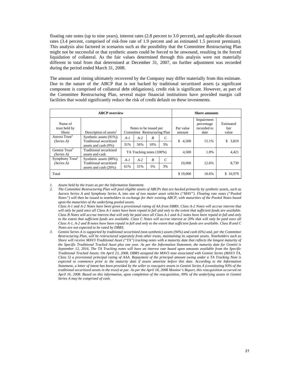floating rate notes (up to nine years), interest rates (2.8 percent to 3.0 percent), and applicable discount rates (3.4 percent, comprised of risk-free rate of 1.9 percent and an estimated 1.5 percent premium). This analysis also factored in scenarios such as the possibility that the Committee Restructuring Plan might not be successful or that synthetic assets could be forced to be unwound, resulting in the forced liquidation of collateral. As the fair values determined through this analysis were not materially different in total from that determined at December 31, 2007, no further adjustment was recorded during the period ended March 31, 2008.

The amount and timing ultimately recovered by the Company may differ materially from this estimate. Due to the nature of the ABCP that is not backed by traditional securitized assets (a significant component is comprised of collateral debt obligations), credit risk is significant. However, as part of the Committee Restructuring Plan, several major financial institutions have provided margin call facilities that would significantly reduce the risk of credit default on these investments.

|                                          | <b>ABCP</b> overview                               |         |                                                        |     |    |                     | <b>Shore amounts</b>                            |                            |
|------------------------------------------|----------------------------------------------------|---------|--------------------------------------------------------|-----|----|---------------------|-------------------------------------------------|----------------------------|
| Name of<br>trust held by<br><b>Shore</b> | Description of assets <sup>1</sup>                 |         | Notes to be issued per<br>Committee Restructuring Plan |     |    | Par value<br>amount | Impairment<br>percentage<br>recorded to<br>date | Estimated<br>fair<br>value |
| Aurora Trust <sup>2</sup><br>(Series A)  | Synthetic assets (91%);<br>Traditional securitized | $A - I$ | $A-2$                                                  | R   | C  | \$<br>4,500         | 15.1%                                           | \$<br>3,819                |
|                                          | assets and cash (9%)                               | 31%     | 56%                                                    | 10% | 3% |                     |                                                 |                            |
| Gemini $Trust3$<br>(Series A)            | Traditional securitized<br>assets and cash         |         | TA Tracking notes (100%)                               |     |    | 4,500               | 1.8%                                            | 4,421                      |
| Symphony $Trust^2$<br>(Series A)         | Synthetic assets (80%);<br>Traditional securitized | $A - I$ | $A-2$                                                  | B   | C  | 10,000              | 12.6%                                           | 8.739                      |
|                                          | assets and cash (20%)                              | 61%     | 31%                                                    | 5%  | 3% |                     |                                                 |                            |
| Total                                    |                                                    |         |                                                        |     |    | \$19,000            | 10.6%                                           | \$16,979                   |

*1. Assets held by the trusts as per the Information Statement.* 

*2. The Committee Restructuring Plan will pool eligible assets of ABCPs that are backed primarily by synthetic assets, such as Aurora Series A and Symphony Series A, into one of two master asset vehicles ("MAV"). Floating rate notes ("Pooled Notes") will then be issued to noteholders in exchange for their existing ABCP, with maturities of the Pooled Notes based upon the maturities of the underlying pooled assets.* 

*Class A-1 and A-2 Notes have been given a provisional rating of AA from DBRS. Class A-2 Notes will accrue interest that will only be paid once all Class A-1 notes have been repaid in full and only to the extent that sufficient funds are available. Class B Notes will accrue interest that will only be paid once all Class A-1 and A-2 notes have been repaid in full and only to the extent that sufficient funds are available. Class C Notes will accrue interest at 20% that will only be paid once all Class A-1, A-2 and B notes have been repaid in full and only to the extent that sufficient funds are available. Class B and C Notes are not expected to be rated by DBRS.* 

*3. Gemini Series A is supported by traditional securitized (non-synthetic) assets (94%) and cash (6%) and, per the Committee Restructuring Plan, will be restructured separately from other trusts, maintaining its separate assets. Noteholders such as Shore will receive MAV3 Traditional Asset ("TA") tracking notes with a maturity date that reflects the longest maturity of the Specific Traditional Tracked Asset plus one year. As per the Information Statement, the maturity date for Gemini is September 12, 2016. The TA Tracking notes will have an interest rate based upon amounts available from the Specific Traditional Tracked Assets. On April 23, 2008, DBRS assigned the MAV3 note associated with Gemini Series (MAV3 TA, Class 5) a provisional principal rating of AAA. Repayment of the principal amount owing under a TA Tracking Note is expected to commence prior to the maturity date if assets amortize before this date. According to the Information Statement, a letter of intent has been provided by the seller to reacquire assets in Gemini Series A (constituting 93% of the traditional securitized assets in the trust) at par. As per the April 18, 2008 Monitor's Report, this reacquisition occurred on April 16, 2008. Based on this information, upon completion of the reacquisition, 99% of the underlying assets in Gemini Series A may be comprised of cash.*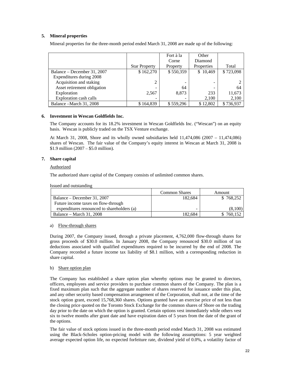#### **5. Mineral properties**

Mineral properties for the three-month period ended March 31, 2008 are made up of the following:

|                             |                      | Fort à la | Other      |           |
|-----------------------------|----------------------|-----------|------------|-----------|
|                             |                      | Corne     | Diamond    |           |
|                             | <b>Star Property</b> | Property  | Properties | Total     |
| Balance – December 31, 2007 | \$162,270            | \$550,359 | \$10,469   | \$723,098 |
| Expenditures during 2008    |                      |           |            |           |
| Acquisition and staking     |                      | -         |            |           |
| Asset retirement obligation |                      | 64        |            | 64        |
| Exploration                 | 2.567                | 8.873     | 233        | 11,673    |
| Exploration cash calls      |                      | -         | 2,100      | 2,100     |
| Balance – March 31, 2008    | \$164,839            | \$559,296 | \$12,802   | \$736,937 |

#### **6. Investment in Wescan Goldfields Inc.**

The Company accounts for its 18.2% investment in Wescan Goldfields Inc. ("Wescan") on an equity basis. Wescan is publicly traded on the TSX Venture exchange.

At March 31, 2008, Shore and its wholly owned subsidiaries held 11,474,086 (2007 – 11,474,086) shares of Wescan. The fair value of the Company's equity interest in Wescan at March 31, 2008 is \$1.9 million (2007 – \$5.0 million).

#### **7. Share capital**

#### Authorized

The authorized share capital of the Company consists of unlimited common shares.

Issued and outstanding

|                                            | <b>Common Shares</b> | Amount    |
|--------------------------------------------|----------------------|-----------|
| Balance – December 31, 2007                | 182,684              | \$768,252 |
| Future income taxes on flow-through        |                      |           |
| expenditures renounced to shareholders (a) | -                    | (8,100)   |
| Balance – March 31, 2008                   | 182.684              | 760.152   |

#### a) Flow-through shares

During 2007, the Company issued, through a private placement, 4,762,000 flow-through shares for gross proceeds of \$30.0 million. In January 2008, the Company renounced \$30.0 million of tax deductions associated with qualified expenditures required to be incurred by the end of 2008. The Company recorded a future income tax liability of \$8.1 million, with a corresponding reduction in share capital.

#### b) Share option plan

The Company has established a share option plan whereby options may be granted to directors, officers, employees and service providers to purchase common shares of the Company. The plan is a fixed maximum plan such that the aggregate number of shares reserved for issuance under this plan, and any other security based compensation arrangement of the Corporation, shall not, at the time of the stock option grant, exceed 15,768,360 shares. Options granted have an exercise price of not less than the closing price quoted on the Toronto Stock Exchange for the common shares of Shore on the trading day prior to the date on which the option is granted. Certain options vest immediately while others vest six to twelve months after grant date and have expiration dates of 5 years from the date of the grant of the options.

The fair value of stock options issued in the three-month period ended March 31, 2008 was estimated using the Black-Scholes option-pricing model with the following assumptions: 5 year weighted average expected option life, no expected forfeiture rate, dividend yield of 0.0%, a volatility factor of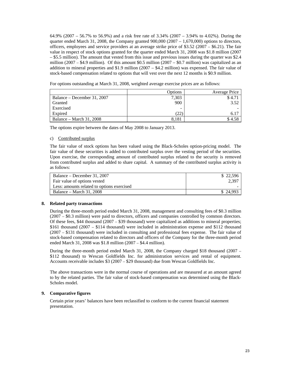64.9% (2007 – 56.7% to 56.9%) and a risk free rate of 3.34% (2007 – 3.94% to 4.02%). During the quarter ended March 31, 2008, the Company granted  $900,000$  ( $2007 - 1,670,000$ ) options to directors, officers, employees and service providers at an average strike price of \$3.52 (2007 – \$6.21). The fair value in respect of stock options granted for the quarter ended March 31, 2008 was \$1.8 million (2007 – \$5.5 million). The amount that vested from this issue and previous issues during the quarter was \$2.4 million (2007 – \$4.9 million). Of this amount \$0.5 million (2007 – \$0.7 million) was capitalized as an addition to mineral properties and \$1.9 million (2007 – \$4.2 million) was expensed. The fair value of stock-based compensation related to options that will vest over the next 12 months is \$0.9 million.

For options outstanding at March 31, 2008, weighted average exercise prices are as follows:

|                             | Options | Average Price |
|-----------------------------|---------|---------------|
| Balance – December 31, 2007 | 7,303   | \$4.71        |
| Granted                     | 900     | 3.52          |
| Exercised                   |         |               |
| Expired                     |         |               |
| Balance – March 31, 2008    | 8.181   | \$4.58        |

The options expire between the dates of May 2008 to January 2013.

#### c) Contributed surplus

The fair value of stock options has been valued using the Black-Scholes option-pricing model. The fair value of these securities is added to contributed surplus over the vesting period of the securities. Upon exercise, the corresponding amount of contributed surplus related to the security is removed from contributed surplus and added to share capital. A summary of the contributed surplus activity is as follows:

| Balance – December 31, 2007                | \$22,596 |
|--------------------------------------------|----------|
| Fair value of options vested               | 2.397    |
| Less: amounts related to options exercised |          |
| Balance – March 31, 2008                   | \$24.993 |

#### **8. Related party transactions**

During the three-month period ended March 31, 2008, management and consulting fees of \$0.3 million (2007 – \$0.3 million) were paid to directors, officers and companies controlled by common directors. Of these fees, \$44 thousand (2007 – \$39 thousand) were capitalized as additions to mineral properties; \$161 thousand (2007 – \$114 thousand) were included in administration expense and \$112 thousand (2007 – \$131 thousand) were included in consulting and professional fees expense. The fair value of stock-based compensation related to directors and officers of the Company for the three-month period ended March 31, 2008 was \$1.8 million (2007 – \$4.4 million).

During the three-month period ended March 31, 2008, the Company charged \$18 thousand (2007 – \$112 thousand) to Wescan Goldfields Inc. for administration services and rental of equipment. Accounts receivable includes \$3 (2007 – \$29 thousand) due from Wescan Goldfields Inc.

The above transactions were in the normal course of operations and are measured at an amount agreed to by the related parties. The fair value of stock-based compensation was determined using the Black-Scholes model.

## **9. Comparative figures**

Certain prior years' balances have been reclassified to conform to the current financial statement presentation.